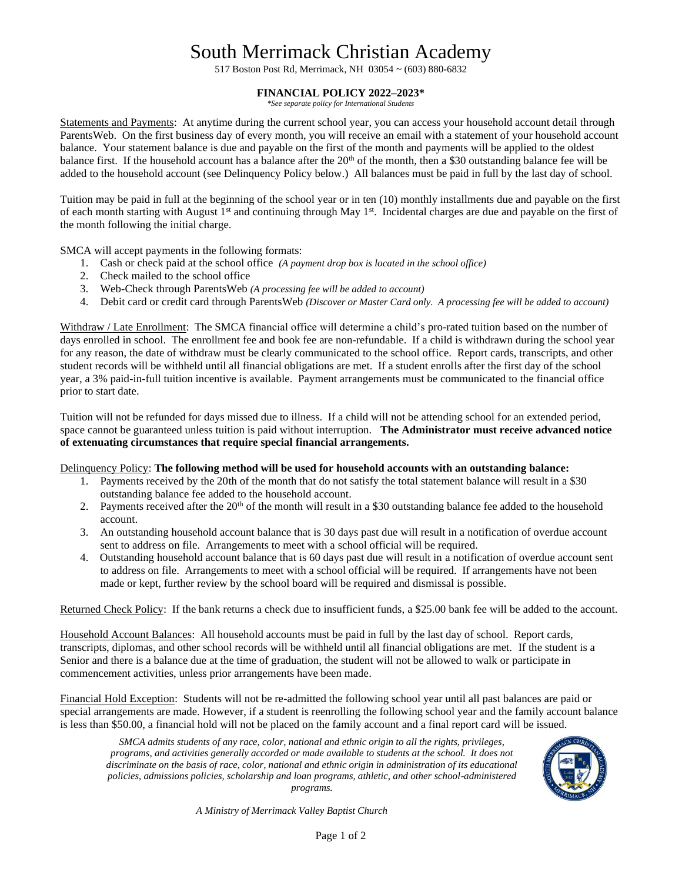## South Merrimack Christian Academy

517 Boston Post Rd, Merrimack, NH 03054 ~ (603) 880-6832

## **FINANCIAL POLICY 2022–2023\***

*\*See separate policy for International Students*

Statements and Payments: At anytime during the current school year, you can access your household account detail through ParentsWeb. On the first business day of every month, you will receive an email with a statement of your household account balance. Your statement balance is due and payable on the first of the month and payments will be applied to the oldest balance first. If the household account has a balance after the  $20<sup>th</sup>$  of the month, then a \$30 outstanding balance fee will be added to the household account (see Delinquency Policy below.) All balances must be paid in full by the last day of school.

Tuition may be paid in full at the beginning of the school year or in ten (10) monthly installments due and payable on the first of each month starting with August  $1<sup>st</sup>$  and continuing through May  $1<sup>st</sup>$ . Incidental charges are due and payable on the first of the month following the initial charge.

SMCA will accept payments in the following formats:

- 1. Cash or check paid at the school office *(A payment drop box is located in the school office)*
- 2. Check mailed to the school office
- 3. Web-Check through ParentsWeb *(A processing fee will be added to account)*
- 4. Debit card or credit card through ParentsWeb *(Discover or Master Card only. A processing fee will be added to account)*

Withdraw / Late Enrollment: The SMCA financial office will determine a child's pro-rated tuition based on the number of days enrolled in school. The enrollment fee and book fee are non-refundable. If a child is withdrawn during the school year for any reason, the date of withdraw must be clearly communicated to the school office. Report cards, transcripts, and other student records will be withheld until all financial obligations are met. If a student enrolls after the first day of the school year, a 3% paid-in-full tuition incentive is available. Payment arrangements must be communicated to the financial office prior to start date.

Tuition will not be refunded for days missed due to illness. If a child will not be attending school for an extended period, space cannot be guaranteed unless tuition is paid without interruption. **The Administrator must receive advanced notice of extenuating circumstances that require special financial arrangements.**

Delinquency Policy: **The following method will be used for household accounts with an outstanding balance:**

- 1. Payments received by the 20th of the month that do not satisfy the total statement balance will result in a \$30 outstanding balance fee added to the household account.
- 2. Payments received after the  $20<sup>th</sup>$  of the month will result in a \$30 outstanding balance fee added to the household account.
- 3. An outstanding household account balance that is 30 days past due will result in a notification of overdue account sent to address on file. Arrangements to meet with a school official will be required.
- 4. Outstanding household account balance that is 60 days past due will result in a notification of overdue account sent to address on file. Arrangements to meet with a school official will be required. If arrangements have not been made or kept, further review by the school board will be required and dismissal is possible.

Returned Check Policy: If the bank returns a check due to insufficient funds, a \$25.00 bank fee will be added to the account.

Household Account Balances: All household accounts must be paid in full by the last day of school. Report cards, transcripts, diplomas, and other school records will be withheld until all financial obligations are met. If the student is a Senior and there is a balance due at the time of graduation, the student will not be allowed to walk or participate in commencement activities, unless prior arrangements have been made.

Financial Hold Exception: Students will not be re-admitted the following school year until all past balances are paid or special arrangements are made. However, if a student is reenrolling the following school year and the family account balance is less than \$50.00, a financial hold will not be placed on the family account and a final report card will be issued.

*SMCA admits students of any race, color, national and ethnic origin to all the rights, privileges, programs, and activities generally accorded or made available to students at the school. It does not discriminate on the basis of race, color, national and ethnic origin in administration of its educational policies, admissions policies, scholarship and loan programs, athletic, and other school-administered programs.*



*A Ministry of Merrimack Valley Baptist Church*